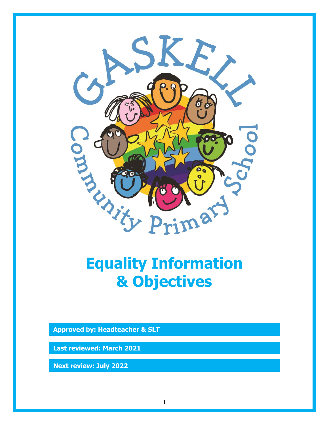

## **Equality Information & Objectives**

**Approved by: Headteacher & SLT**

**Last reviewed: March 2021**

**Next review: July 2022**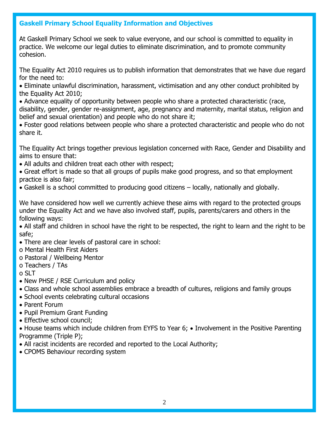## **Gaskell Primary School Equality Information and Objectives**

At Gaskell Primary School we seek to value everyone, and our school is committed to equality in practice. We welcome our legal duties to eliminate discrimination, and to promote community cohesion.

The Equality Act 2010 requires us to publish information that demonstrates that we have due regard for the need to:

- Eliminate unlawful discrimination, harassment, victimisation and any other conduct prohibited by the Equality Act 2010;
- Advance equality of opportunity between people who share a protected characteristic (race, disability, gender, gender re-assignment, age, pregnancy and maternity, marital status, religion and belief and sexual orientation) and people who do not share it;
- Foster good relations between people who share a protected characteristic and people who do not share it.

The Equality Act brings together previous legislation concerned with Race, Gender and Disability and aims to ensure that:

- All adults and children treat each other with respect;
- Great effort is made so that all groups of pupils make good progress, and so that employment practice is also fair;
- Gaskell is a school committed to producing good citizens locally, nationally and globally.

We have considered how well we currently achieve these aims with regard to the protected groups under the Equality Act and we have also involved staff, pupils, parents/carers and others in the following ways:

 All staff and children in school have the right to be respected, the right to learn and the right to be safe;

- There are clear levels of pastoral care in school:
- o Mental Health First Aiders
- o Pastoral / Wellbeing Mentor
- o Teachers / TAs
- o SLT
- New PHSE / RSE Curriculum and policy
- Class and whole school assemblies embrace a breadth of cultures, religions and family groups
- School events celebrating cultural occasions
- Parent Forum
- Pupil Premium Grant Funding
- Effective school council:

• House teams which include children from EYFS to Year 6; • Involvement in the Positive Parenting Programme (Triple P);

- All racist incidents are recorded and reported to the Local Authority;
- CPOMS Behaviour recording system